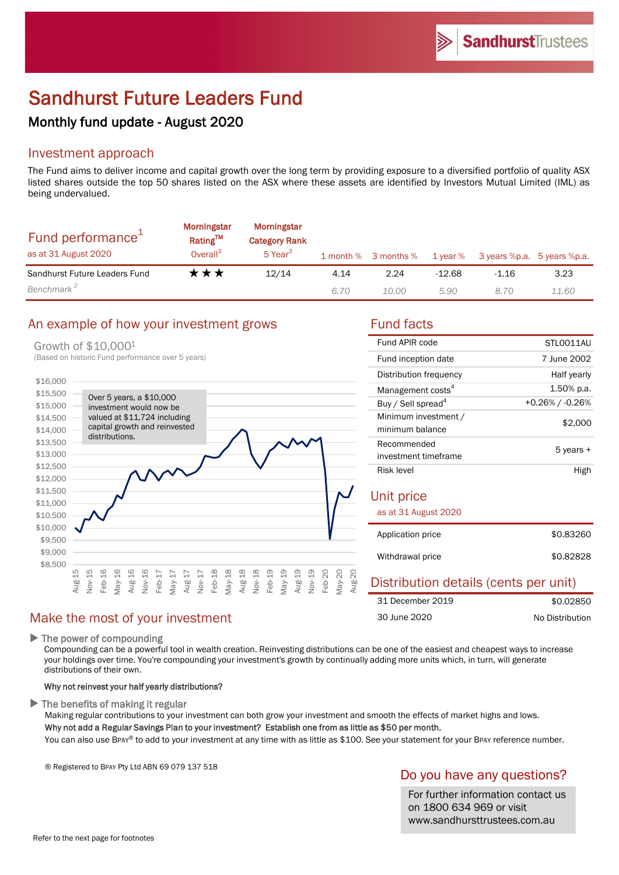# Sandhurst Future Leaders Fund

# Monthly fund update - August 2020

## Investment approach

The Fund aims to deliver income and capital growth over the long term by providing exposure to a diversified portfolio of quality ASX listed shares outside the top 50 shares listed on the ASX where these assets are identified by Investors Mutual Limited (IML) as being undervalued.

| Fund performance <sup>1</sup><br>as at 31 August 2020 | <b>Morningstar</b><br>Rating <sup>TM</sup><br>Overall <sup>3</sup> | Morningstar<br><b>Category Rank</b><br>5 Year <sup>3</sup> |      | 1 month % 3 months % | 1 year % | 3 years %p.a. 5 years %p.a. |       |
|-------------------------------------------------------|--------------------------------------------------------------------|------------------------------------------------------------|------|----------------------|----------|-----------------------------|-------|
| Sandhurst Future Leaders Fund                         | ★★★                                                                | 12/14                                                      | 4.14 | 2.24                 | $-12.68$ | $-1.16$                     | 3.23  |
| Benchmark <sup>2</sup>                                |                                                                    |                                                            | 6.70 | 10.00                | 5.90     | 8.70                        | 11.60 |

## An example of how your investment grows Fund facts

#### Growth of \$10,0001

(Based on historic Fund performance over 5 years)



## Make the most of your investment

 $\blacktriangleright$  The power of compounding

Compounding can be a powerful tool in wealth creation. Reinvesting distributions can be one of the easiest and cheapest ways to increase your holdings over time. You're compounding your investment's growth by continually adding more units which, in turn, will generate distributions of their own.

#### Why not reinvest your half yearly distributions?

 $\blacktriangleright$  The benefits of making it regular

Making regular contributions to your investment can both grow your investment and smooth the effects of market highs and lows. Why not add a Regular Savings Plan to your investment? Establish one from as little as \$50 per month.

You can also use BPAY® to add to your investment at any time with as little as \$100. See your statement for your BPAY reference number.

® Registered to BPAY Pty Ltd ABN 69 079 137 518

#### Do you have any questions?

For further information contact us on 1800 634 969 or visit www.sandhursttrustees.com.au

| Fund APIR code                          | STLO011AU       |  |  |
|-----------------------------------------|-----------------|--|--|
| Fund inception date                     | 7 June 2002     |  |  |
| Distribution frequency                  | Half yearly     |  |  |
| Management costs <sup>4</sup>           | 1.50% p.a.      |  |  |
| Buy / Sell spread <sup>4</sup>          | +0.26% / -0.26% |  |  |
| Minimum investment /<br>minimum balance | \$2,000         |  |  |
| Recommended                             | 5 years +       |  |  |
| investment timeframe                    |                 |  |  |
| Risk level                              | High            |  |  |
| Unit price                              |                 |  |  |
| as at 31 August 2020                    |                 |  |  |
| Application price                       | \$0.83260       |  |  |
| Withdrawal price                        | \$0.82828       |  |  |

| Distribution details (cents per unit) |                 |
|---------------------------------------|-----------------|
| 31 December 2019                      | \$0.02850       |
| 30 June 2020                          | No Distribution |